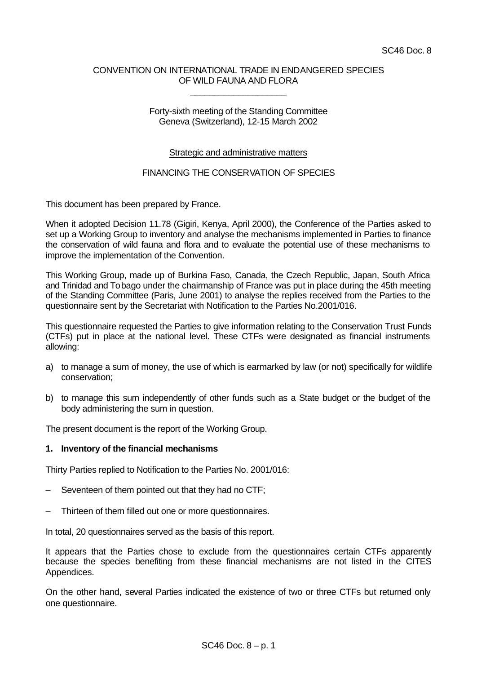# CONVENTION ON INTERNATIONAL TRADE IN ENDANGERED SPECIES OF WILD FAUNA AND FLORA

\_\_\_\_\_\_\_\_\_\_\_\_\_\_\_\_\_\_\_\_

## Forty-sixth meeting of the Standing Committee Geneva (Switzerland), 12-15 March 2002

# Strategic and administrative matters

# FINANCING THE CONSERVATION OF SPECIES

This document has been prepared by France.

When it adopted Decision 11.78 (Gigiri, Kenya, April 2000), the Conference of the Parties asked to set up a Working Group to inventory and analyse the mechanisms implemented in Parties to finance the conservation of wild fauna and flora and to evaluate the potential use of these mechanisms to improve the implementation of the Convention.

This Working Group, made up of Burkina Faso, Canada, the Czech Republic, Japan, South Africa and Trinidad and Tobago under the chairmanship of France was put in place during the 45th meeting of the Standing Committee (Paris, June 2001) to analyse the replies received from the Parties to the questionnaire sent by the Secretariat with Notification to the Parties No.2001/016.

This questionnaire requested the Parties to give information relating to the Conservation Trust Funds (CTFs) put in place at the national level. These CTFs were designated as financial instruments allowing:

- a) to manage a sum of money, the use of which is earmarked by law (or not) specifically for wildlife conservation;
- b) to manage this sum independently of other funds such as a State budget or the budget of the body administering the sum in question.

The present document is the report of the Working Group.

#### **1. Inventory of the financial mechanisms**

Thirty Parties replied to Notification to the Parties No. 2001/016:

- Seventeen of them pointed out that they had no CTF;
- Thirteen of them filled out one or more questionnaires.

In total, 20 questionnaires served as the basis of this report.

It appears that the Parties chose to exclude from the questionnaires certain CTFs apparently because the species benefiting from these financial mechanisms are not listed in the CITES Appendices.

On the other hand, several Parties indicated the existence of two or three CTFs but returned only one questionnaire.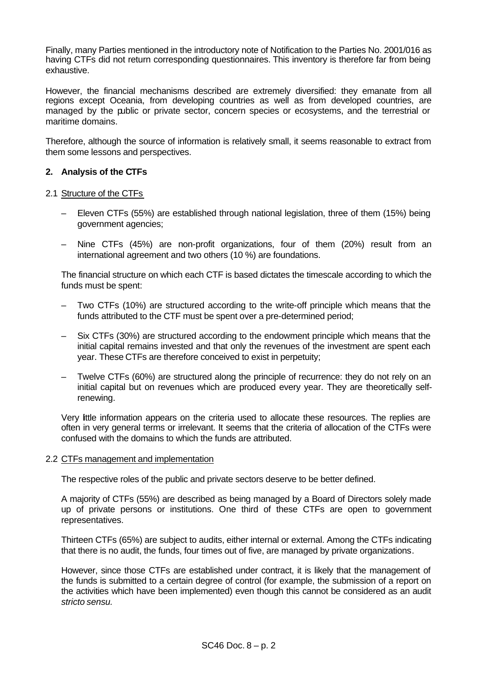Finally, many Parties mentioned in the introductory note of Notification to the Parties No. 2001/016 as having CTFs did not return corresponding questionnaires. This inventory is therefore far from being exhaustive.

However, the financial mechanisms described are extremely diversified: they emanate from all regions except Oceania, from developing countries as well as from developed countries, are managed by the public or private sector, concern species or ecosystems, and the terrestrial or maritime domains.

Therefore, although the source of information is relatively small, it seems reasonable to extract from them some lessons and perspectives.

# **2. Analysis of the CTFs**

### 2.1 Structure of the CTFs

- Eleven CTFs (55%) are established through national legislation, three of them (15%) being government agencies;
- Nine CTFs (45%) are non-profit organizations, four of them (20%) result from an international agreement and two others (10 %) are foundations.

The financial structure on which each CTF is based dictates the timescale according to which the funds must be spent:

- Two CTFs (10%) are structured according to the write-off principle which means that the funds attributed to the CTF must be spent over a pre-determined period;
- Six CTFs (30%) are structured according to the endowment principle which means that the initial capital remains invested and that only the revenues of the investment are spent each year. These CTFs are therefore conceived to exist in perpetuity;
- Twelve CTFs (60%) are structured along the principle of recurrence: they do not rely on an initial capital but on revenues which are produced every year. They are theoretically selfrenewing.

Very little information appears on the criteria used to allocate these resources. The replies are often in very general terms or irrelevant. It seems that the criteria of allocation of the CTFs were confused with the domains to which the funds are attributed.

#### 2.2 CTFs management and implementation

The respective roles of the public and private sectors deserve to be better defined.

A majority of CTFs (55%) are described as being managed by a Board of Directors solely made up of private persons or institutions. One third of these CTFs are open to government representatives.

Thirteen CTFs (65%) are subject to audits, either internal or external. Among the CTFs indicating that there is no audit, the funds, four times out of five, are managed by private organizations.

However, since those CTFs are established under contract, it is likely that the management of the funds is submitted to a certain degree of control (for example, the submission of a report on the activities which have been implemented) even though this cannot be considered as an audit *stricto sensu.*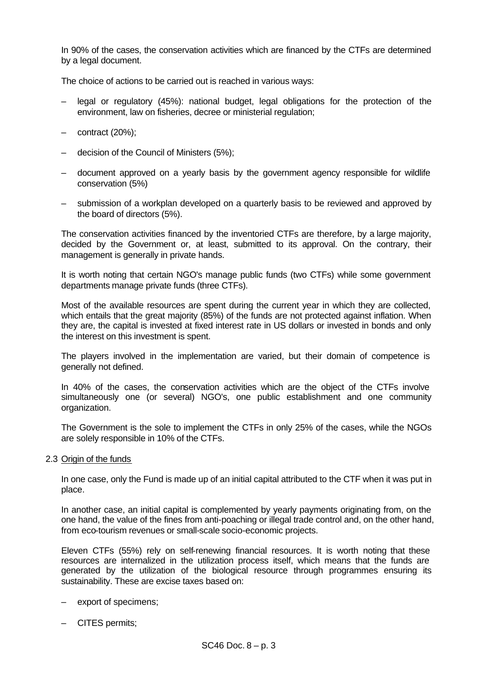In 90% of the cases, the conservation activities which are financed by the CTFs are determined by a legal document.

The choice of actions to be carried out is reached in various ways:

- legal or regulatory (45%): national budget, legal obligations for the protection of the environment, law on fisheries, decree or ministerial regulation;
- contract (20%);
- decision of the Council of Ministers (5%);
- document approved on a yearly basis by the government agency responsible for wildlife conservation (5%)
- submission of a workplan developed on a quarterly basis to be reviewed and approved by the board of directors (5%).

The conservation activities financed by the inventoried CTFs are therefore, by a large majority, decided by the Government or, at least, submitted to its approval. On the contrary, their management is generally in private hands.

It is worth noting that certain NGO's manage public funds (two CTFs) while some government departments manage private funds (three CTFs).

Most of the available resources are spent during the current year in which they are collected, which entails that the great majority (85%) of the funds are not protected against inflation. When they are, the capital is invested at fixed interest rate in US dollars or invested in bonds and only the interest on this investment is spent.

The players involved in the implementation are varied, but their domain of competence is generally not defined.

In 40% of the cases, the conservation activities which are the object of the CTFs involve simultaneously one (or several) NGO's, one public establishment and one community organization.

The Government is the sole to implement the CTFs in only 25% of the cases, while the NGOs are solely responsible in 10% of the CTFs.

2.3 Origin of the funds

In one case, only the Fund is made up of an initial capital attributed to the CTF when it was put in place.

In another case, an initial capital is complemented by yearly payments originating from, on the one hand, the value of the fines from anti-poaching or illegal trade control and, on the other hand, from eco-tourism revenues or small-scale socio-economic projects.

Eleven CTFs (55%) rely on self-renewing financial resources. It is worth noting that these resources are internalized in the utilization process itself, which means that the funds are generated by the utilization of the biological resource through programmes ensuring its sustainability. These are excise taxes based on:

- export of specimens;
- CITES permits;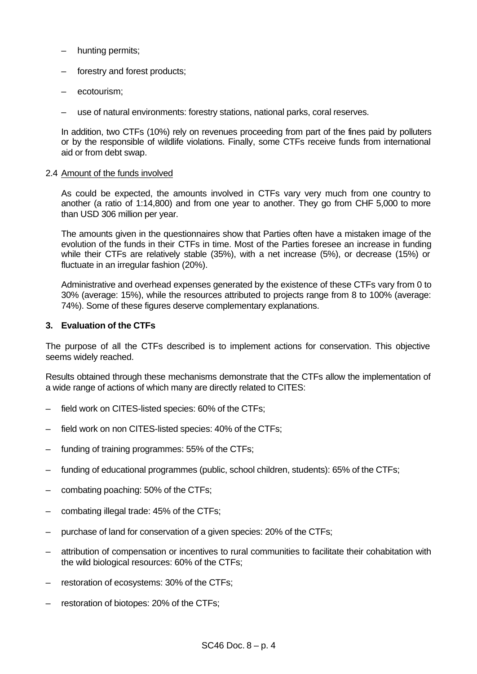- hunting permits;
- forestry and forest products;
- ecotourism;
- use of natural environments: forestry stations, national parks, coral reserves.

In addition, two CTFs (10%) rely on revenues proceeding from part of the fines paid by polluters or by the responsible of wildlife violations. Finally, some CTFs receive funds from international aid or from debt swap.

### 2.4 Amount of the funds involved

As could be expected, the amounts involved in CTFs vary very much from one country to another (a ratio of 1:14,800) and from one year to another. They go from CHF 5,000 to more than USD 306 million per year.

The amounts given in the questionnaires show that Parties often have a mistaken image of the evolution of the funds in their CTFs in time. Most of the Parties foresee an increase in funding while their CTFs are relatively stable (35%), with a net increase (5%), or decrease (15%) or fluctuate in an irregular fashion (20%).

Administrative and overhead expenses generated by the existence of these CTFs vary from 0 to 30% (average: 15%), while the resources attributed to projects range from 8 to 100% (average: 74%). Some of these figures deserve complementary explanations.

# **3. Evaluation of the CTFs**

The purpose of all the CTFs described is to implement actions for conservation. This objective seems widely reached.

Results obtained through these mechanisms demonstrate that the CTFs allow the implementation of a wide range of actions of which many are directly related to CITES:

- field work on CITES-listed species: 60% of the CTFs;
- field work on non CITES-listed species: 40% of the CTFs;
- funding of training programmes: 55% of the CTFs;
- funding of educational programmes (public, school children, students): 65% of the CTFs;
- combating poaching: 50% of the CTFs;
- combating illegal trade: 45% of the CTFs;
- purchase of land for conservation of a given species: 20% of the CTFs;
- attribution of compensation or incentives to rural communities to facilitate their cohabitation with the wild biological resources: 60% of the CTFs;
- restoration of ecosystems: 30% of the CTFs;
- restoration of biotopes: 20% of the CTFs;